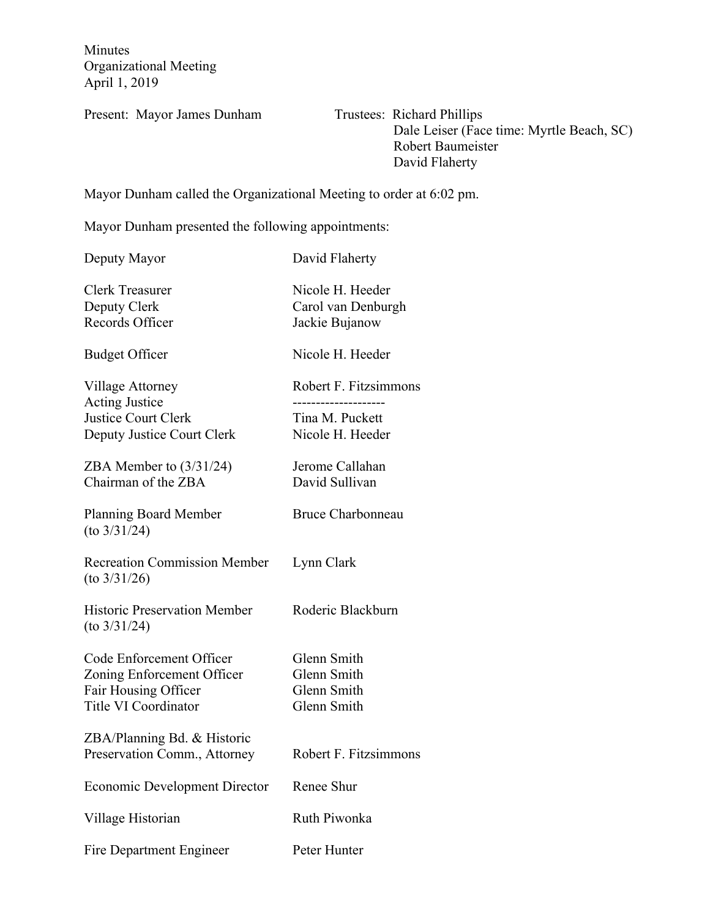Minutes Organizational Meeting April 1, 2019

Present: Mayor James Dunham Trustees: Richard Phillips

 Dale Leiser (Face time: Myrtle Beach, SC) Robert Baumeister David Flaherty

Mayor Dunham called the Organizational Meeting to order at 6:02 pm.

Mayor Dunham presented the following appointments:

Deputy Mayor David Flaherty

| <b>Clerk Treasurer</b><br>Deputy Clerk<br>Records Officer                                                     | Nicole H. Heeder<br>Carol van Denburgh<br>Jackie Bujanow                          |
|---------------------------------------------------------------------------------------------------------------|-----------------------------------------------------------------------------------|
| <b>Budget Officer</b>                                                                                         | Nicole H. Heeder                                                                  |
| Village Attorney<br><b>Acting Justice</b><br><b>Justice Court Clerk</b><br>Deputy Justice Court Clerk         | Robert F. Fitzsimmons<br>-----------------<br>Tina M. Puckett<br>Nicole H. Heeder |
| ZBA Member to $(3/31/24)$<br>Chairman of the ZBA                                                              | Jerome Callahan<br>David Sullivan                                                 |
| <b>Planning Board Member</b><br>$(to\ 3/31/24)$                                                               | <b>Bruce Charbonneau</b>                                                          |
| <b>Recreation Commission Member</b><br>$(to\ 3/31/26)$                                                        | Lynn Clark                                                                        |
| <b>Historic Preservation Member</b><br>$(to\ 3/31/24)$                                                        | Roderic Blackburn                                                                 |
| Code Enforcement Officer<br>Zoning Enforcement Officer<br>Fair Housing Officer<br><b>Title VI Coordinator</b> | Glenn Smith<br>Glenn Smith<br>Glenn Smith<br>Glenn Smith                          |
| ZBA/Planning Bd. & Historic<br>Preservation Comm., Attorney                                                   | Robert F. Fitzsimmons                                                             |
| <b>Economic Development Director</b>                                                                          | Renee Shur                                                                        |
| Village Historian                                                                                             | <b>Ruth Piwonka</b>                                                               |
| Fire Department Engineer                                                                                      | Peter Hunter                                                                      |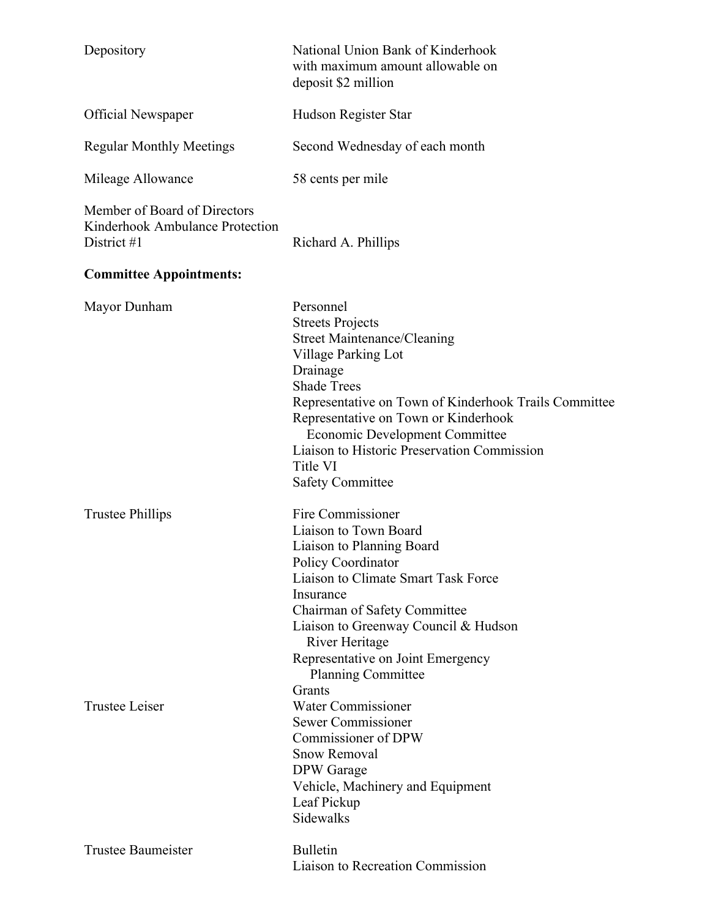| Depository                                                                     | National Union Bank of Kinderhook<br>with maximum amount allowable on<br>deposit \$2 million                                                                                                                                                                                                                                                                                                                                    |
|--------------------------------------------------------------------------------|---------------------------------------------------------------------------------------------------------------------------------------------------------------------------------------------------------------------------------------------------------------------------------------------------------------------------------------------------------------------------------------------------------------------------------|
| <b>Official Newspaper</b>                                                      | Hudson Register Star                                                                                                                                                                                                                                                                                                                                                                                                            |
| <b>Regular Monthly Meetings</b>                                                | Second Wednesday of each month                                                                                                                                                                                                                                                                                                                                                                                                  |
| Mileage Allowance                                                              | 58 cents per mile                                                                                                                                                                                                                                                                                                                                                                                                               |
| Member of Board of Directors<br>Kinderhook Ambulance Protection<br>District #1 | Richard A. Phillips                                                                                                                                                                                                                                                                                                                                                                                                             |
| <b>Committee Appointments:</b>                                                 |                                                                                                                                                                                                                                                                                                                                                                                                                                 |
| Mayor Dunham                                                                   | Personnel<br><b>Streets Projects</b><br><b>Street Maintenance/Cleaning</b><br>Village Parking Lot<br>Drainage<br><b>Shade Trees</b><br>Representative on Town of Kinderhook Trails Committee<br>Representative on Town or Kinderhook<br><b>Economic Development Committee</b><br>Liaison to Historic Preservation Commission<br>Title VI<br><b>Safety Committee</b>                                                             |
| <b>Trustee Phillips</b><br><b>Trustee Leiser</b>                               | Fire Commissioner<br>Liaison to Town Board<br>Liaison to Planning Board<br><b>Policy Coordinator</b><br>Liaison to Climate Smart Task Force<br>Insurance<br>Chairman of Safety Committee<br>Liaison to Greenway Council & Hudson<br>River Heritage<br>Representative on Joint Emergency<br><b>Planning Committee</b><br>Grants<br><b>Water Commissioner</b><br>Sewer Commissioner<br>Commissioner of DPW<br><b>Snow Removal</b> |
| Trustee Baumeister                                                             | DPW Garage<br>Vehicle, Machinery and Equipment<br>Leaf Pickup<br>Sidewalks<br><b>Bulletin</b><br><b>Liaison to Recreation Commission</b>                                                                                                                                                                                                                                                                                        |
|                                                                                |                                                                                                                                                                                                                                                                                                                                                                                                                                 |